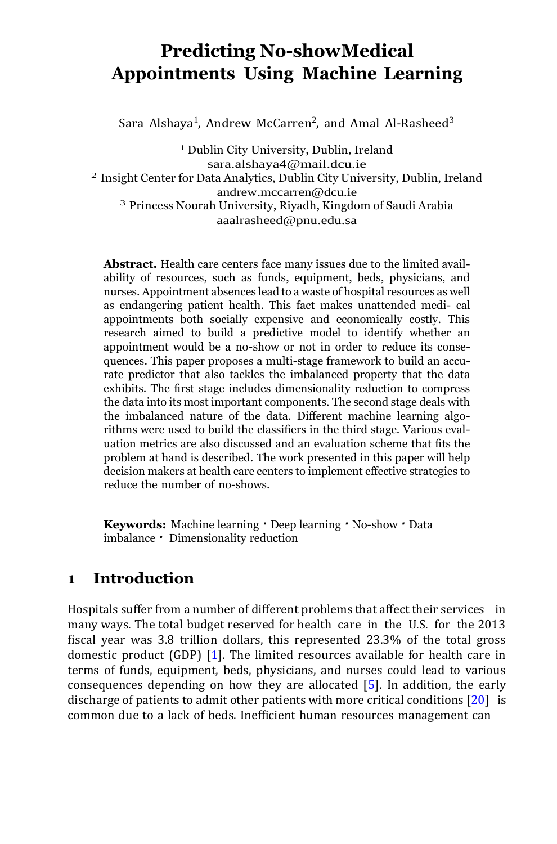# **Predicting No-showMedical Appointments Using Machine Learning**

Sara Alshaya<sup>1</sup>, Andrew McCarren<sup>2</sup>, and Amal Al-Rasheed<sup>3</sup>

<sup>1</sup> Dublin City University, Dublin, Ireland [sara.alshaya4@mail.dcu.ie](mailto:sara.alshaya4@mail.dcu.ie) 2 Insight Center for Data Analytics, Dublin City University, Dublin, Ireland [andrew.mccarren@dcu.ie](mailto:andrew.mccarren@dcu.ie) 3 Princess Nourah University, Riyadh, Kingdom of Saudi Arabia [aaalrasheed@pnu.edu.sa](mailto:aaalrasheed@pnu.edu.sa)

**Abstract.** Health care centers face many issues due to the limited availability of resources, such as funds, equipment, beds, physicians, and nurses. Appointment absences lead to a waste of hospital resources as well as endangering patient health. This fact makes unattended medi- cal appointments both socially expensive and economically costly. This research aimed to build a predictive model to identify whether an appointment would be a no-show or not in order to reduce its consequences. This paper proposes a multi-stage framework to build an accurate predictor that also tackles the imbalanced property that the data exhibits. The first stage includes dimensionality reduction to compress the data into its most important components. The second stage deals with the imbalanced nature of the data. Different machine learning algorithms were used to build the classifiers in the third stage. Various evaluation metrics are also discussed and an evaluation scheme that fits the problem at hand is described. The work presented in this paper will help decision makers at health care centers to implement effective strategies to reduce the number of no-shows.

**Keywords:** Machine learning *·* Deep learning *·* No-show *·* Data imbalance *·* Dimensionality reduction

### **1 Introduction**

Hospitals suffer from a number of different problems that affect their services in many ways. The total budget reserved for health care in the U.S. for the 2013 fiscal year was 3.8 trillion dollars, this represented 23.3% of the total gross domestic product (GDP) [\[1\]](#page-12-0). The limited resources available for health care in terms of funds, equipment, beds, physicians, and nurses could lead to various consequences depending on how they are allocated [\[5\]](#page-12-1). In addition, the early discharge of patients to admit other patients with more critical conditions [\[20\]](#page-13-0) is common due to a lack of beds. Inefficient human resources management can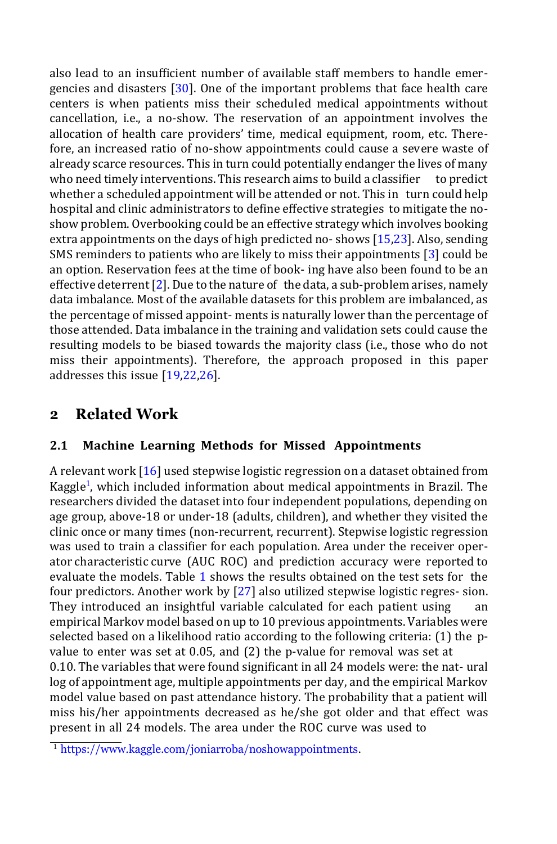also lead to an insufficient number of available staff members to handle emergencies and disasters [\[30\]](#page-13-1). One of the important problems that face health care centers is when patients miss their scheduled medical appointments without cancellation, i.e., a no-show. The reservation of an appointment involves the allocation of health care providers' time, medical equipment, room, etc. Therefore, an increased ratio of no-show appointments could cause a severe waste of already scarce resources. This in turn could potentially endanger the lives of many who need timely interventions. This research aims to build a classifier to predict whether a scheduled appointment will be attended or not. This in turn could help hospital and clinic administrators to define effective strategies to mitigate the noshow problem. Overbooking could be an effective strategy which involves booking extra appointments on the days of high predicted no- shows [\[15,](#page-12-2)[23\]](#page-13-2). Also, sending SMS reminders to patients who are likely to miss their appointments [\[3\]](#page-12-3) could be an option. Reservation fees at the time of book- ing have also been found to be an effective deterrent [[2\]](#page-12-4). Due to the nature of the data, a sub-problem arises, namely data imbalance. Most of the available datasets for this problem are imbalanced, as the percentage of missed appoint- ments is naturally lower than the percentage of those attended. Data imbalance in the training and validation sets could cause the resulting models to be biased towards the majority class (i.e., those who do not miss their appointments). Therefore, the approach proposed in this paper addresses this issue [\[19,](#page-12-5)[22,](#page-13-3)[26\]](#page-13-4).

### **2 Related Work**

#### **2.1 Machine Learning Methods for Missed Appointments**

A relevant work [\[16\]](#page-12-6) used stepwise logistic regression on a dataset obtained from Kaggle<sup>1</sup>[,](#page-1-0) which included information about medical appointments in Brazil. The researchers divided the dataset into four independent populations, depending on age group, above-18 or under-18 (adults, children), and whether they visited the clinic once or many times (non-recurrent, recurrent). Stepwise logistic regression was used to train a classifier for each population. Area under the receiver operator characteristic curve (AUC ROC) and prediction accuracy were reported to evaluate the models. Table [1](#page-2-0) shows the results obtained on the test sets for the four predictors. Another work by  $[27]$  also utilized stepwise logistic regres-sion. They introduced an insightful variable calculated for each patient using an empirical Markov model based on up to 10 previous appointments. Variables were selected based on a likelihood ratio according to the following criteria: (1) the pvalue to enter was set at 0.05, and (2) the p-value for removal was set at 0.10. The variables that were found significant in all 24 models were: the nat- ural log of appointment age, multiple appointments per day, and the empirical Markov model value based on past attendance history. The probability that a patient will miss his/her appointments decreased as he/she got older and that effect was present in all 24 models. The area under the ROC curve was used to

<span id="page-1-0"></span><sup>1</sup> [https://www.kaggle.com/joniarroba/noshowappointments.](https://www.kaggle.com/joniarroba/noshowappointments)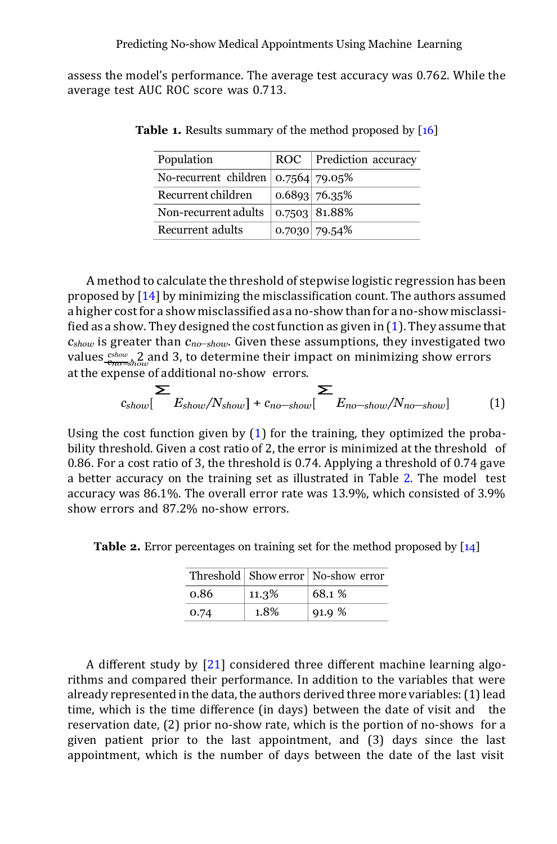assess the model's performance. The average test accuracy was 0.762. While the average test AUC ROC score was 0.713.

<span id="page-2-0"></span>

| Population                                  | ROC   Prediction accuracy |
|---------------------------------------------|---------------------------|
| No-recurrent children $\vert$ 0.7564 79.05% |                           |
| Recurrent children                          | 0.6893 76.35%             |
| Non-recurrent adults                        | $0.7503$ 81.88%           |
| Recurrent adults                            | 0.7030 79.54%             |

**Table 1.** Results summary of the method proposed by [\[16\]](#page-12-6)

*values*  $\frac{c_{show}}{c_{no}-show}$  2 and 3, to determine their impact on minimizing show errors A method to calculate the threshold of stepwise logistic regression has been proposed by [\[14\]](#page-12-7) by minimizing the misclassification count. The authors assumed ahigher costfor a show misclassifiedas ano-showthan for ano-show misclassified as a show. They designed the cost function as given in  $(1)$ . They assume that *cshow* is greater than *cno*−*show*. Given these assumptions, they investigated two at the expense of additional no-show errors.<br>  $\sum_{n=1}^{\infty}$ 

$$
\sum_{c_{show}[\text{K}_{show}/N_{show}] + c_{no-show}[\text{K}_{no-show}/N_{no-show}]}\n \sum_{c_{show}[\text{K}_{show}] + c_{no-show}[\text{K}_{no-show}/N_{no-show}]}\n \tag{1}
$$

<span id="page-2-1"></span>Using the cost function given by [\(1\)](#page-2-1) for the training, they optimized the probability threshold. Given a cost ratio of 2, the error is minimized at the threshold of 0.86. For a cost ratio of 3, the threshold is 0.74. Applying a threshold of 0.74 gave a better accuracy on the training set as illustrated in Table [2.](#page-2-2) The model test accuracy was 86.1%. The overall error rate was 13.9%, which consisted of 3.9% show errors and 87.2% no-show errors.

<span id="page-2-2"></span>**Table 2.** Error percentages on training set for the method proposed by [\[14\]](#page-12-7)

|      |       | Threshold   Show error   No-show error |  |  |  |
|------|-------|----------------------------------------|--|--|--|
| 0.86 | 11.3% | 68.1 %                                 |  |  |  |
| 0.74 | 1.8%  | 91.9 %                                 |  |  |  |

A different study by [[21](#page-13-6)] considered three different machine learning algorithms and compared their performance. In addition to the variables that were already represented in the data, the authors derived three more variables: (1) lead time, which is the time difference (in days) between the date of visit and the reservation date, (2) prior no-show rate, which is the portion of no-shows for a given patient prior to the last appointment, and (3) days since the last appointment, which is the number of days between the date of the last visit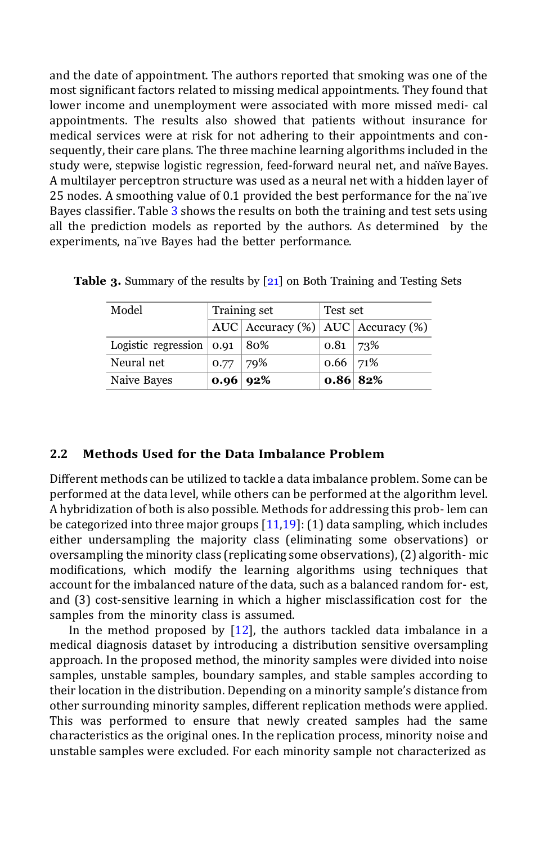and the date of appointment. The authors reported that smoking was one of the most significant factors related to missing medical appointments. They found that lower income and unemployment were associated with more missed medi- cal appointments. The results also showed that patients without insurance for medical services were at risk for not adhering to their appointments and consequently, their care plans. The three machine learning algorithms included in the study were, stepwise logistic regression, feed-forward neural net, and naïve Bayes. A multilayer perceptron structure was used as a neural net with a hidden layer of 25 nodes. A smoothing value of 0.1 provided the best performance for the na¨ıve Bayes classifier. Tabl[e 3 s](#page-3-0)hows the results on both the training and test sets using all the prediction models as reported by the authors. As determined by the experiments, na¨ıve Bayes had the better performance.

<span id="page-3-0"></span>

| Model                            |          | Training set                                            | Test set     |  |  |
|----------------------------------|----------|---------------------------------------------------------|--------------|--|--|
|                                  |          | $ \text{AUC} $ Accuracy (%) $ \text{AUC} $ Accuracy (%) |              |  |  |
| Logistic regression $ 0.91 80\%$ |          |                                                         | $0.81$   73% |  |  |
| Neural net                       | 0.77     | 79%                                                     | $0.66$   71% |  |  |
| Naive Bayes                      | 0.96 92% |                                                         | 0.86 82%     |  |  |

**Table 3.** Summary of the results by [\[21\]](#page-13-6) on Both Training and Testing Sets

#### **2.2 Methods Used for the Data Imbalance Problem**

Different methods can be utilized to tackle a data imbalance problem. Some can be performed at the data level, while others can be performed at the algorithm level. A hybridization of both is also possible. Methods for addressing this prob- lem can be categorized into three major groups  $[11,19]$  $[11,19]$ : (1) data sampling, which includes either undersampling the majority class (eliminating some observations) or oversampling the minority class (replicating some observations), (2) algorith- mic modifications, which modify the learning algorithms using techniques that account for the imbalanced nature of the data, such as a balanced random for- est, and (3) cost-sensitive learning in which a higher misclassification cost for the samples from the minority class is assumed.

In the method proposed by  $[12]$ , the authors tackled data imbalance in a medical diagnosis dataset by introducing a distribution sensitive oversampling approach. In the proposed method, the minority samples were divided into noise samples, unstable samples, boundary samples, and stable samples according to their location in the distribution. Depending on a minority sample's distance from other surrounding minority samples, different replication methods were applied. This was performed to ensure that newly created samples had the same characteristics as the original ones. In the replication process, minority noise and unstable samples were excluded. For each minority sample not characterized as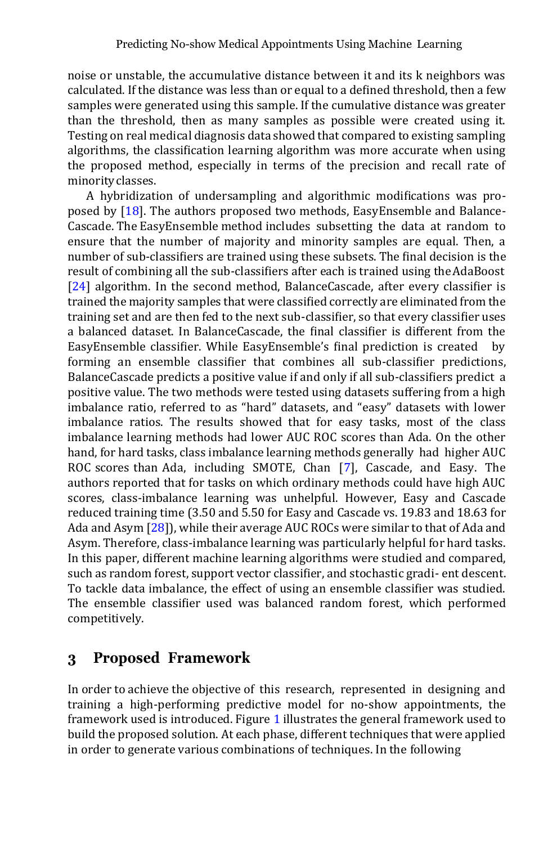noise or unstable, the accumulative distance between it and its k neighbors was calculated. If the distance was less than or equal to a defined threshold, then a few samples were generated using this sample. If the cumulative distance was greater than the threshold, then as many samples as possible were created using it. Testing on real medical diagnosis data showed that compared to existing sampling algorithms, the classification learning algorithm was more accurate when using the proposed method, especially in terms of the precision and recall rate of minorityclasses.

A hybridization of undersampling and algorithmic modifications was pro-posed by [\[18\]](#page-12-10). The authors proposed two methods, EasyEnsemble and Balance-Cascade. The EasyEnsemble method includes subsetting the data at random to ensure that the number of majority and minority samples are equal. Then, a number of sub-classifiers are trained using these subsets. The final decision is the result of combining all the sub-classifiers after each is trained using theAdaBoost [\[24](#page-13-7)] algorithm. In the second method, BalanceCascade, after every classifier is trained the majority samples that were classified correctly are eliminated from the training set and are then fed to the next sub-classifier, so that every classifier uses a balanced dataset. In BalanceCascade, the final classifier is different from the EasyEnsemble classifier. While EasyEnsemble's final prediction is created by forming an ensemble classifier that combines all sub-classifier predictions, BalanceCascade predicts a positive value if and only if all sub-classifiers predict a positive value. The two methods were tested using datasets suffering from a high imbalance ratio, referred to as "hard" datasets, and "easy" datasets with lower imbalance ratios. The results showed that for easy tasks, most of the class imbalance learning methods had lower AUC ROC scores than Ada. On the other hand, for hard tasks, class imbalance learning methods generally had higher AUC ROC scores than Ada, including SMOTE, Chan [\[7\]](#page-12-11), Cascade, and Easy. The authors reported that for tasks on which ordinary methods could have high AUC scores, class-imbalance learning was unhelpful. However, Easy and Cascade reduced training time (3.50 and 5.50 for Easy and Cascade vs. 19.83 and 18.63 for Ada and Asym [\[28\]](#page-13-8)), while their average AUC ROCs were similar to that of Ada and Asym. Therefore, class-imbalance learning was particularly helpful for hard tasks. In this paper, different machine learning algorithms were studied and compared, such as random forest, support vector classifier, and stochastic gradi- ent descent. To tackle data imbalance, the effect of using an ensemble classifier was studied. The ensemble classifier used was balanced random forest, which performed competitively.

## **3 Proposed Framework**

In order to achieve the objective of this research, represented in designing and training a high-performing predictive model for no-show appointments, the framework used is introduced. Figure [1](#page-5-0) illustrates the general framework used to build the proposed solution. At each phase, different techniques that were applied in order to generate various combinations of techniques. In the following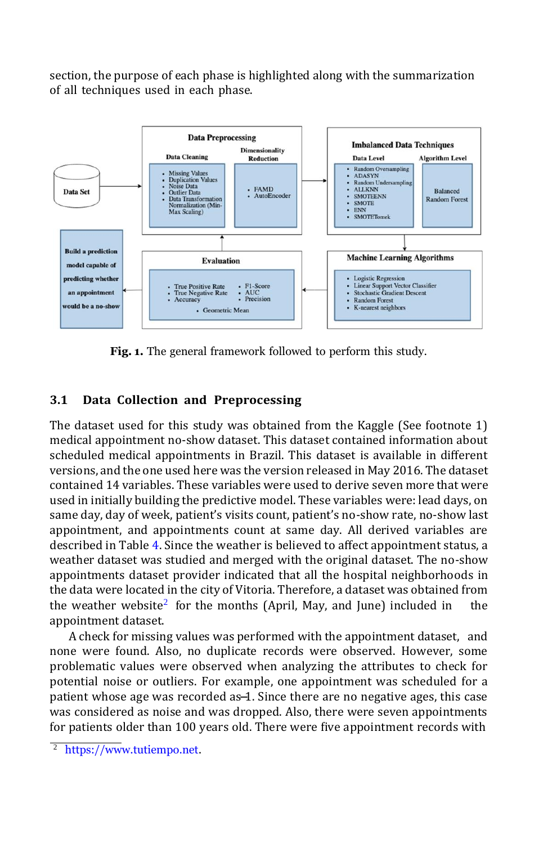section, the purpose of each phase is highlighted along with the summarization of all techniques used in each phase.



<span id="page-5-0"></span>**Fig. 1.** The general framework followed to perform this study.

#### **3.1 Data Collection and Preprocessing**

The dataset used for this study was obtained from the Kaggle (See footnote 1) medical appointment no-show dataset. This dataset contained information about scheduled medical appointments in Brazil. This dataset is available in different versions, and the one used here was the version released in May 2016. The dataset contained 14 variables. These variables were used to derive seven more that were used in initially building the predictive model. These variables were: lead days, on same day, day of week, patient's visits count, patient's no-show rate, no-show last appointment, and appointments count at same day. All derived variables are described in Table [4](#page-6-0). Since the weather is believed to affect appointment status, a weather dataset was studied and merged with the original dataset. The no-show appointments dataset provider indicated that all the hospital neighborhoods in the data were located in the city of Vitoria. Therefore, a dataset was obtained from the weather website<sup>2</sup> for the months (April, May, and June) included in the appointment dataset.

patient whose age was recorded as -1. Since there are no negative ages, this case A check for missing values was performed with the appointment dataset, and none were found. Also, no duplicate records were observed. However, some problematic values were observed when analyzing the attributes to check for potential noise or outliers. For example, one appointment was scheduled for a was considered as noise and was dropped. Also, there were seven appointments for patients older than 100 years old. There were five appointment records with

<span id="page-5-1"></span>[https://www.tutiempo.net.](https://www.tutiempo.net/)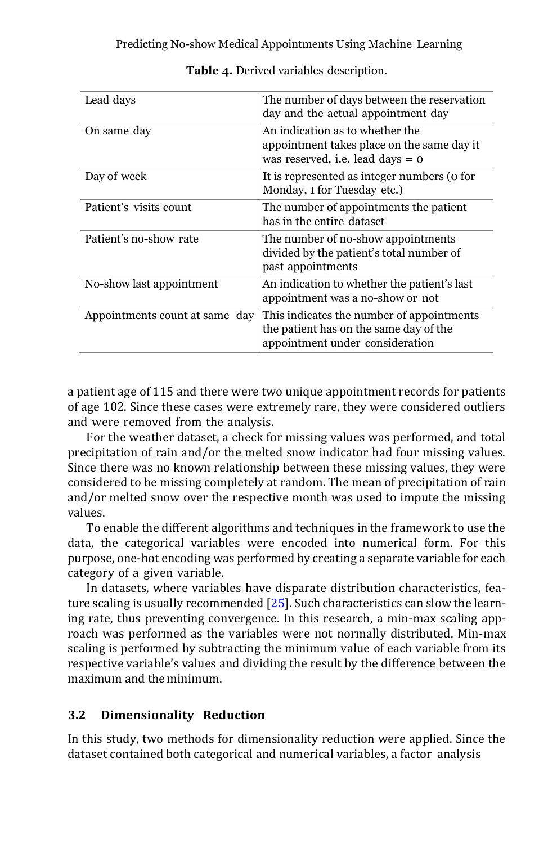| Lead days                      | The number of days between the reservation<br>day and the actual appointment day                                       |
|--------------------------------|------------------------------------------------------------------------------------------------------------------------|
| On same day                    | An indication as to whether the<br>appointment takes place on the same day it<br>was reserved, i.e. lead days $= 0$    |
| Day of week                    | It is represented as integer numbers (o for<br>Monday, 1 for Tuesday etc.)                                             |
| Patient's visits count         | The number of appointments the patient<br>has in the entire dataset                                                    |
| Patient's no-show rate         | The number of no-show appointments<br>divided by the patient's total number of<br>past appointments                    |
| No-show last appointment       | An indication to whether the patient's last<br>appointment was a no-show or not                                        |
| Appointments count at same day | This indicates the number of appointments<br>the patient has on the same day of the<br>appointment under consideration |

<span id="page-6-0"></span>**Table 4.** Derived variables description.

a patient age of 115 and there were two unique appointment records for patients of age 102. Since these cases were extremely rare, they were considered outliers and were removed from the analysis.

For the weather dataset, a check for missing values was performed, and total precipitation of rain and/or the melted snow indicator had four missing values. Since there was no known relationship between these missing values, they were considered to be missing completely at random. The mean of precipitation of rain and/or melted snow over the respective month was used to impute the missing values.

To enable the different algorithms and techniques in the framework to use the data, the categorical variables were encoded into numerical form. For this purpose, one-hot encoding was performed by creating a separate variable for each category of a given variable.

In datasets, where variables have disparate distribution characteristics, feature scaling is usually recommended [\[25\]](#page-13-9). Such characteristics can slow the learning rate, thus preventing convergence. In this research, a min-max scaling approach was performed as the variables were not normally distributed. Min-max scaling is performed by subtracting the minimum value of each variable from its respective variable's values and dividing the result by the difference between the maximum and theminimum.

#### **3.2 Dimensionality Reduction**

In this study, two methods for dimensionality reduction were applied. Since the dataset contained both categorical and numerical variables, a factor analysis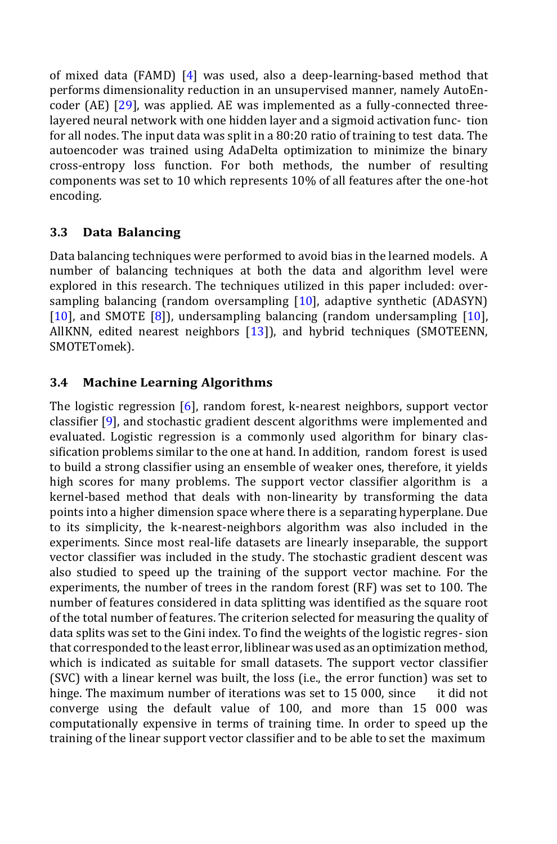of mixed data (FAMD) [\[4\]](#page-12-12) was used, also a deep-learning-based method that performs dimensionality reduction in an unsupervised manner, namely AutoEncoder (AE) [\[29\]](#page-13-10), was applied. AE was implemented as a fully-connected threelayered neural network with one hidden layer and a sigmoid activation func- tion for all nodes. The input data was split in a 80:20 ratio of training to test data. The autoencoder was trained using AdaDelta optimization to minimize the binary cross-entropy loss function. For both methods, the number of resulting components was set to 10 which represents 10% of all features after the one-hot encoding.

#### **3.3 Data Balancing**

Data balancing techniques were performed to avoid bias in the learned models. A number of balancing techniques at both the data and algorithm level were explored in this research. The techniques utilized in this paper included: oversampling balancing (random oversampling [\[10\]](#page-12-13), adaptive synthetic (ADASYN) [\[10\]](#page-12-13), and SMOTE [\[8\]](#page-12-14)), undersampling balancing (random undersampling [\[10\]](#page-12-13), AllKNN, edited nearest neighbors [\[13\]](#page-12-15)), and hybrid techniques (SMOTEENN, SMOTETomek).

#### **3.4 Machine Learning Algorithms**

The logistic regression [\[6\]](#page-12-16), random forest, k-nearest neighbors, support vector classifier [[9\]](#page-12-17), and stochastic gradient descent algorithms were implemented and evaluated. Logistic regression is a commonly used algorithm for binary classification problems similar to the one at hand. In addition, random forest is used to build a strong classifier using an ensemble of weaker ones, therefore, it yields high scores for many problems. The support vector classifier algorithm is a kernel-based method that deals with non-linearity by transforming the data points into a higher dimension space where there is a separating hyperplane. Due to its simplicity, the k-nearest-neighbors algorithm was also included in the experiments. Since most real-life datasets are linearly inseparable, the support vector classifier was included in the study. The stochastic gradient descent was also studied to speed up the training of the support vector machine. For the experiments, the number of trees in the random forest (RF) was set to 100. The number of features considered in data splitting was identified as the square root of the total number of features. The criterion selected for measuring the quality of data splits was set to the Gini index. To find the weights of the logistic regres- sion that corresponded to the least error, liblinear was used as an optimization method, which is indicated as suitable for small datasets. The support vector classifier (SVC) with a linear kernel was built, the loss (i.e., the error function) was set to hinge. The maximum number of iterations was set to 15 000, since it did not converge using the default value of 100, and more than 15 000 was computationally expensive in terms of training time. In order to speed up the training of the linear support vector classifier and to be able to set the maximum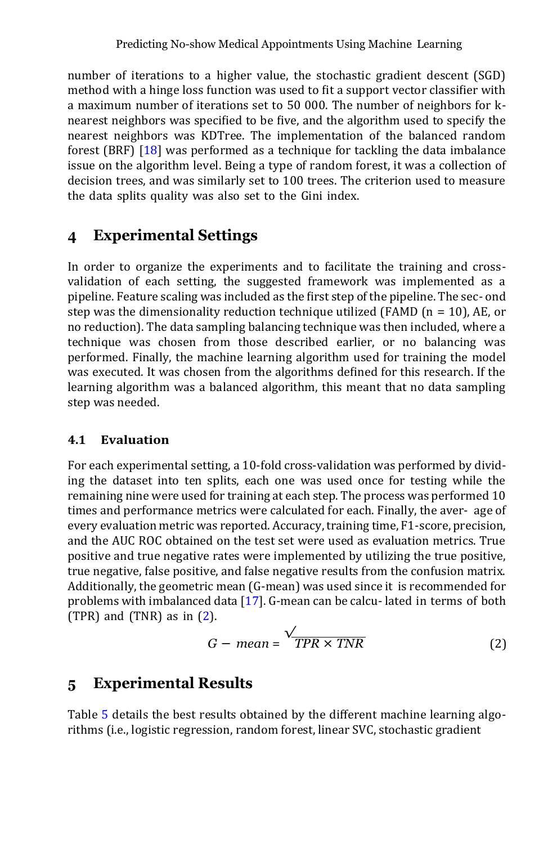number of iterations to a higher value, the stochastic gradient descent (SGD) method with a hinge loss function was used to fit a support vector classifier with a maximum number of iterations set to 50 000. The number of neighbors for knearest neighbors was specified to be five, and the algorithm used to specify the nearest neighbors was KDTree. The implementation of the balanced random forest (BRF) [\[18\]](#page-12-10) was performed as a technique for tackling the data imbalance issue on the algorithm level. Being a type of random forest, it was a collection of decision trees, and was similarly set to 100 trees. The criterion used to measure the data splits quality was also set to the Gini index.

## **4 Experimental Settings**

In order to organize the experiments and to facilitate the training and crossvalidation of each setting, the suggested framework was implemented as a pipeline. Feature scaling was included as the first step of the pipeline. The sec- ond step was the dimensionality reduction technique utilized (FAMD ( $n = 10$ ), AE, or no reduction). The data sampling balancing technique was then included, where a technique was chosen from those described earlier, or no balancing was performed. Finally, the machine learning algorithm used for training the model was executed. It was chosen from the algorithms defined for this research. If the learning algorithm was a balanced algorithm, this meant that no data sampling step was needed.

#### **4.1 Evaluation**

For each experimental setting, a 10-fold cross-validation was performed by dividing the dataset into ten splits, each one was used once for testing while the remaining nine were used for training at each step. The process was performed 10 times and performance metrics were calculated for each. Finally, the aver- age of every evaluation metric was reported. Accuracy, training time, F1-score, precision, and the AUC ROC obtained on the test set were used as evaluation metrics. True positive and true negative rates were implemented by utilizing the true positive, true negative, false positive, and false negative results from the confusion matrix. Additionally, the geometric mean (G-mean) was used since it is recommended for problems with imbalanced data [\[17\]](#page-12-18). G-mean can be calcu- lated in terms of both (TPR) and (TNR) as in [\(2\)](#page-8-0).

$$
G - mean = \frac{\sqrt{TPR \times TNR}}{(2)}
$$

### <span id="page-8-0"></span>**5 Experimental Results**

Table [5](#page-10-0) details the best results obtained by the different machine learning algorithms (i.e., logistic regression, random forest, linear SVC, stochastic gradient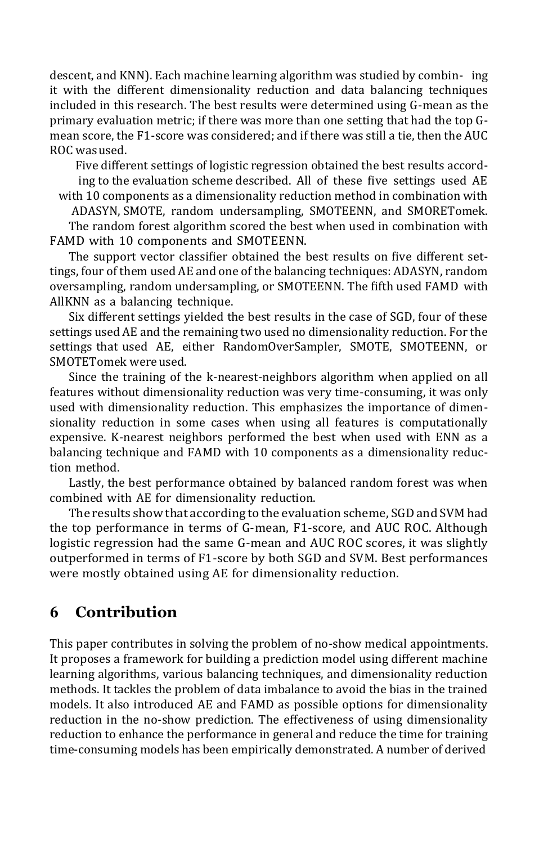descent, and KNN). Each machine learning algorithm was studied by combin- ing it with the different dimensionality reduction and data balancing techniques included in this research. The best results were determined using G-mean as the primary evaluation metric; if there was more than one setting that had the top Gmean score, the F1-score was considered; and if there was still a tie, then the AUC ROC wasused.

Five different settings of logistic regression obtained the best results accord-

ing to the evaluation scheme described. All of these five settings used AE with 10 components as a dimensionality reduction method in combination with

ADASYN, SMOTE, random undersampling, SMOTEENN, and SMORETomek.

The random forest algorithm scored the best when used in combination with FAMD with 10 components and SMOTEENN.

The support vector classifier obtained the best results on five different settings, four of them used AE and one of the balancing techniques: ADASYN, random oversampling, random undersampling, or SMOTEENN. The fifth used FAMD with AllKNN as a balancing technique.

Six different settings yielded the best results in the case of SGD, four of these settings used AE and the remaining two used no dimensionality reduction. For the settings that used AE, either RandomOverSampler, SMOTE, SMOTEENN, or SMOTETomek wereused.

Since the training of the k-nearest-neighbors algorithm when applied on all features without dimensionality reduction was very time-consuming, it was only used with dimensionality reduction. This emphasizes the importance of dimensionality reduction in some cases when using all features is computationally expensive. K-nearest neighbors performed the best when used with ENN as a balancing technique and FAMD with 10 components as a dimensionality reduction method.

Lastly, the best performance obtained by balanced random forest was when combined with AE for dimensionality reduction.

The results show that according to the evaluation scheme, SGD and SVM had the top performance in terms of G-mean, F1-score, and AUC ROC. Although logistic regression had the same G-mean and AUC ROC scores, it was slightly outperformed in terms of F1-score by both SGD and SVM. Best performances were mostly obtained using AE for dimensionality reduction.

### **6 Contribution**

This paper contributes in solving the problem of no-show medical appointments. It proposes a framework for building a prediction model using different machine learning algorithms, various balancing techniques, and dimensionality reduction methods. It tackles the problem of data imbalance to avoid the bias in the trained models. It also introduced AE and FAMD as possible options for dimensionality reduction in the no-show prediction. The effectiveness of using dimensionality reduction to enhance the performance in general and reduce the time for training time-consuming models has been empirically demonstrated. A number of derived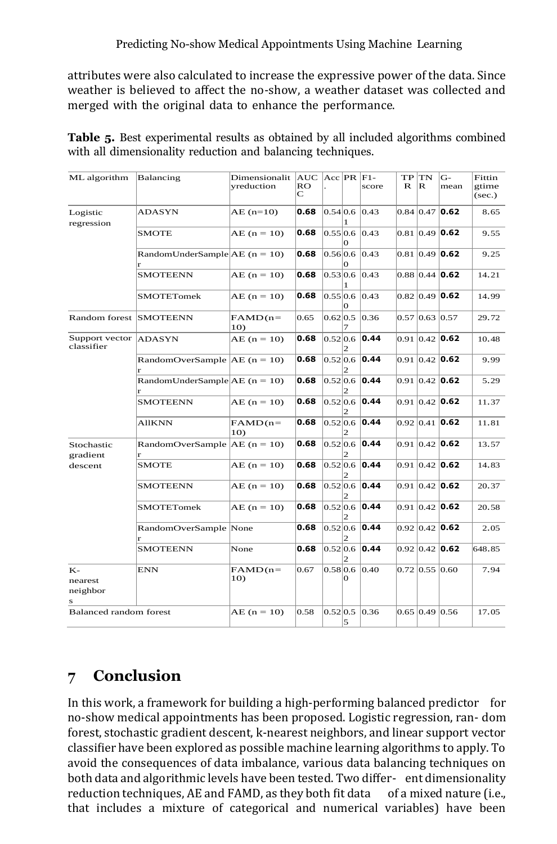attributes were also calculated to increase the expressive power of the data. Since weather is believed to affect the no-show, a weather dataset was collected and merged with the original data to enhance the performance.

<span id="page-10-0"></span>

| <b>Table 5.</b> Best experimental results as obtained by all included algorithms combined |  |
|-------------------------------------------------------------------------------------------|--|
| with all dimensionality reduction and balancing techniques.                               |  |

| ML algorithm                      | Balancing                       | Dimensionalit   AUC   Acc   PR   F1 -<br>vreduction | RO.<br>C |          |          | score             | $\mathbf{R}$ | TP TN<br>ΙR.     | G-<br>mean               | Fittin<br>gtime<br>(sec.) |
|-----------------------------------|---------------------------------|-----------------------------------------------------|----------|----------|----------|-------------------|--------------|------------------|--------------------------|---------------------------|
| Logistic<br>regression            | ADASYN                          | $AE(n=10)$                                          | 0.68     | 0.54 0.6 |          | $ 0.43\rangle$    |              |                  | $0.84 0.47 $ 0.62        | 8.65                      |
|                                   | <b>SMOTE</b>                    | $AE (n = 10)$                                       | 0.68     |          | 0        | 0.55 0.6 0.43     |              |                  | $0.81 0.49 $ 0.62        | 9.55                      |
|                                   | RandomUnderSample $AE$ (n = 10) |                                                     | 0.68     |          | 0        | 0.56 0.6 0.43     |              |                  | $0.81$ 0.49 0.62         | 9.25                      |
|                                   | <b>SMOTEENN</b>                 | $AE (n = 10)$                                       | 0.68     |          |          | 0.53 0.6 0.43     |              |                  | $0.88$ 0.44 <b>0.62</b>  | 14.21                     |
|                                   | <b>SMOTETomek</b>               | $AE (n = 10)$                                       | 0.68     |          | $\sigma$ | 0.55 0.6 0.43     |              |                  | 0.82   0.49   0.62       | 14.99                     |
| Random forest                     | <b>SMOTEENN</b>                 | $FAMD(n=$<br>10)                                    | 0.65     |          |          | 0.62 0.5 0.36     |              | 0.57 0.63 0.57   |                          | 29.72                     |
| Support vector<br>classifier      | ADASYN                          | $AE (n = 10)$                                       | 0.68     |          |          | $0.52 0.6 $ 0.44  |              |                  | $0.91$ 0.42 <b>0.62</b>  | 10.48                     |
|                                   | RandomOverSample $AE (n = 10)$  |                                                     | 0.68     |          |          | $ 0.52 0.6 $ 0.44 |              |                  | $0.91 0.42 $ 0.62        | 9.99                      |
|                                   | RandomUnderSample $AE$ (n = 10) |                                                     | 0.68     |          |          | $0.52 0.6 $ 0.44  |              |                  | $0.91$ 0.42 <b>0.62</b>  | 5.29                      |
|                                   | <b>SMOTEENN</b>                 | $AE (n = 10)$                                       | 0.68     | 0.52 0.6 |          | 0.44              |              |                  | $0.91 0.42 $ 0.62        | 11.37                     |
|                                   | AllKNN                          | $FAMD(n=$<br>10)                                    | 0.68     | 0.52 0.6 |          | 0.44              |              |                  | $0.92 0.41 $ 0.62        | 11.81                     |
| Stochastic<br>gradient<br>descent | RandomOverSample $AE (n = 10)$  |                                                     | 0.68     | 0.52 0.6 | 2        | 0.44              |              |                  | $0.91 0.42 $ 0.62        | 13.57                     |
|                                   | <b>SMOTE</b>                    | $AE (n = 10)$                                       | 0.68     | 0.52 0.6 | 2        | 0.44              |              |                  | $0.91 0.42 $ 0.62        | 14.83                     |
|                                   | <b>SMOTEENN</b>                 | $AE (n = 10)$                                       | 0.68     |          |          | $ 0.52 0.6 $ 0.44 |              |                  | $0.91 0.42 $ <b>0.62</b> | 20.37                     |
|                                   | <b>SMOTETomek</b>               | $AE (n = 10)$                                       | 0.68     |          |          | $0.52 0.6 $ 0.44  |              |                  | $0.91$ 0.42 <b>0.62</b>  | 20.58                     |
|                                   | RandomOverSample None           |                                                     | 0.68     |          | 2        | $ 0.52 0.6 $ 0.44 |              |                  | $0.92 0.42 $ 0.62        | 2.05                      |
|                                   | <b>SMOTEENN</b>                 | None                                                | 0.68     | 0.52 0.6 |          | 0.44              |              |                  | 0.92   0.42   0.62       | 648.85                    |
| $K-$<br>nearest<br>neighbor<br>s  | <b>ENN</b>                      | $FAMD(n=$<br>10)                                    | 0.67     |          | 0        | 0.58 0.6 0.40     |              | $0.72$ 0.55 0.60 |                          | 7.94                      |
| Balanced random forest            |                                 | $AE (n = 10)$                                       | 0.58     | 0.52 0.5 | 5        | 0.36              |              | $0.65$ 0.49 0.56 |                          | 17.05                     |

## **7 Conclusion**

In this work, a framework for building a high-performing balanced predictor for no-show medical appointments has been proposed. Logistic regression, ran- dom forest, stochastic gradient descent, k-nearest neighbors, and linear support vector classifier have been explored as possible machine learning algorithms to apply. To avoid the consequences of data imbalance, various data balancing techniques on both data and algorithmic levels have been tested. Two differ- ent dimensionality reduction techniques, AE and FAMD, as they both fit data of a mixed nature (i.e., that includes a mixture of categorical and numerical variables) have been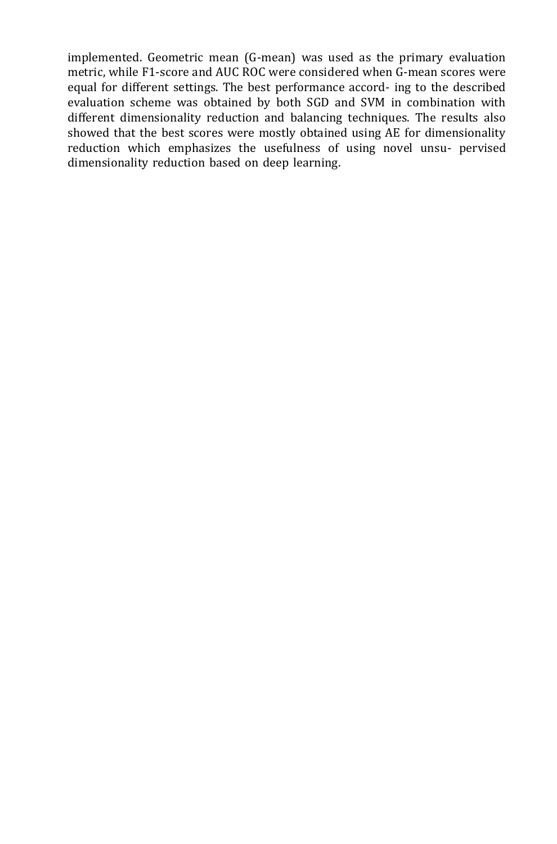implemented. Geometric mean (G-mean) was used as the primary evaluation metric, while F1-score and AUC ROC were considered when G-mean scores were equal for different settings. The best performance accord- ing to the described evaluation scheme was obtained by both SGD and SVM in combination with different dimensionality reduction and balancing techniques. The results also showed that the best scores were mostly obtained using AE for dimensionality reduction which emphasizes the usefulness of using novel unsu- pervised dimensionality reduction based on deep learning.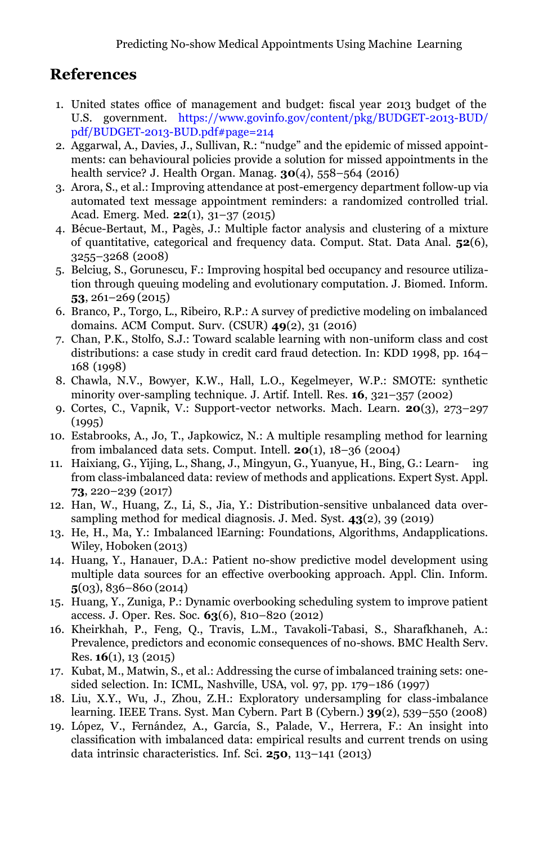## **References**

- <span id="page-12-0"></span>1. United states office of management and budget: fiscal year 2013 budget of the U.S. government. [https://www.govinfo.gov/content/pkg/BUDGET-2013-BUD/](https://www.govinfo.gov/content/pkg/BUDGET-2013-BUD/pdf/BUDGET-2013-BUD.pdf#page%3D214) [pdf/BUDGET-2013-BUD.pdf#page=214](https://www.govinfo.gov/content/pkg/BUDGET-2013-BUD/pdf/BUDGET-2013-BUD.pdf#page%3D214)
- <span id="page-12-4"></span>2. Aggarwal, A., Davies, J., Sullivan, R.: "nudge" and the epidemic of missed appointments: can behavioural policies provide a solution for missed appointments in the health service? J. Health Organ. Manag. **30**(4), 558–564 (2016)
- <span id="page-12-3"></span>3. Arora, S., et al.: Improving attendance at post-emergency department follow-up via automated text message appointment reminders: a randomized controlled trial. Acad. Emerg. Med. **22**(1), 31–37 (2015)
- <span id="page-12-12"></span>4. Bécue-Bertaut, M., Pagès, J.: Multiple factor analysis and clustering of a mixture of quantitative, categorical and frequency data. Comput. Stat. Data Anal. **52**(6), 3255–3268 (2008)
- <span id="page-12-1"></span>5. Belciug, S., Gorunescu, F.: Improving hospital bed occupancy and resource utilization through queuing modeling and evolutionary computation. J. Biomed. Inform. **53**, 261–269 (2015)
- <span id="page-12-16"></span>6. Branco, P., Torgo, L., Ribeiro, R.P.: A survey of predictive modeling on imbalanced domains. ACM Comput. Surv. (CSUR) **49**(2), 31 (2016)
- <span id="page-12-11"></span>7. Chan, P.K., Stolfo, S.J.: Toward scalable learning with non-uniform class and cost distributions: a case study in credit card fraud detection. In: KDD 1998, pp. 164– 168 (1998)
- <span id="page-12-14"></span>8. Chawla, N.V., Bowyer, K.W., Hall, L.O., Kegelmeyer, W.P.: SMOTE: synthetic minority over-sampling technique. J. Artif. Intell. Res. **16**, 321–357 (2002)
- <span id="page-12-17"></span>9. Cortes, C., Vapnik, V.: Support-vector networks. Mach. Learn. **20**(3), 273–297  $(1995)$
- <span id="page-12-13"></span>10. Estabrooks, A., Jo, T., Japkowicz, N.: A multiple resampling method for learning from imbalanced data sets. Comput. Intell. **20**(1), 18–36 (2004)
- <span id="page-12-8"></span>11. Haixiang, G., Yijing, L., Shang, J., Mingyun, G., Yuanyue, H., Bing, G.: Learn- ing from class-imbalanced data: review of methods and applications. Expert Syst. Appl. **73**, 220–239 (2017)
- <span id="page-12-9"></span>12. Han, W., Huang, Z., Li, S., Jia, Y.: Distribution-sensitive unbalanced data oversampling method for medical diagnosis. J. Med. Syst. **43**(2), 39 (2019)
- <span id="page-12-15"></span>13. He, H., Ma, Y.: Imbalanced lEarning: Foundations, Algorithms, Andapplications. Wiley, Hoboken (2013)
- <span id="page-12-7"></span>14. Huang, Y., Hanauer, D.A.: Patient no-show predictive model development using multiple data sources for an effective overbooking approach. Appl. Clin. Inform. **5**(03), 836–860 (2014)
- <span id="page-12-2"></span>15. Huang, Y., Zuniga, P.: Dynamic overbooking scheduling system to improve patient access. J. Oper. Res. Soc. **63**(6), 810–820 (2012)
- <span id="page-12-6"></span>16. Kheirkhah, P., Feng, Q., Travis, L.M., Tavakoli-Tabasi, S., Sharafkhaneh, A.: Prevalence, predictors and economic consequences of no-shows. BMC Health Serv. Res. **16**(1), 13 (2015)
- <span id="page-12-18"></span>17. Kubat, M., Matwin, S., et al.: Addressing the curse of imbalanced training sets: onesided selection. In: ICML, Nashville, USA, vol. 97, pp. 179–186 (1997)
- <span id="page-12-10"></span>18. Liu, X.Y., Wu, J., Zhou, Z.H.: Exploratory undersampling for class-imbalance learning. IEEE Trans. Syst. Man Cybern. Part B (Cybern.) **39**(2), 539–550 (2008)
- <span id="page-12-5"></span>19. López, V., Fernández, A., García, S., Palade, V., Herrera, F.: An insight into classification with imbalanced data: empirical results and current trends on using data intrinsic characteristics. Inf. Sci. **250**, 113–141 (2013)